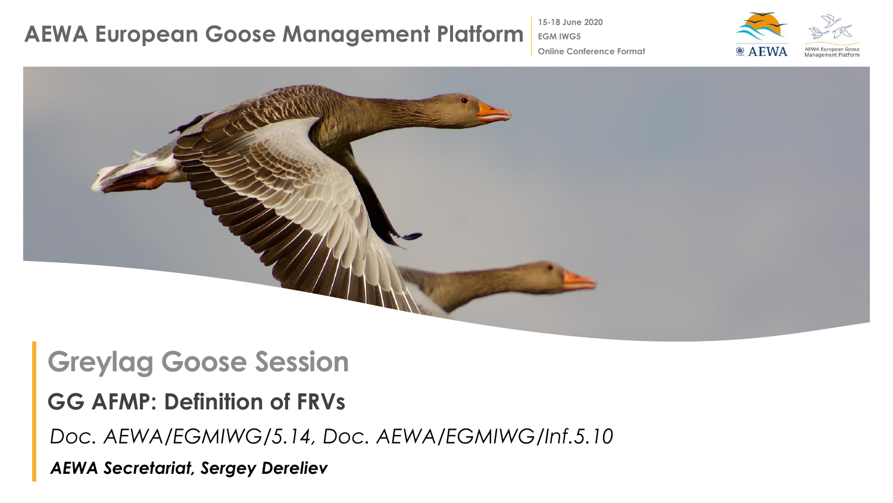## **AEWA European Goose Management Platform**

**15-18 June 2020**

**EGM IWG5**



**Online Conference Format**



## **Greylag Goose Session**

### **GG AFMP: Definition of FRVs**

*Doc. AEWA/EGMIWG/5.14, Doc. AEWA/EGMIWG/Inf.5.10*

*AEWA Secretariat, Sergey Dereliev*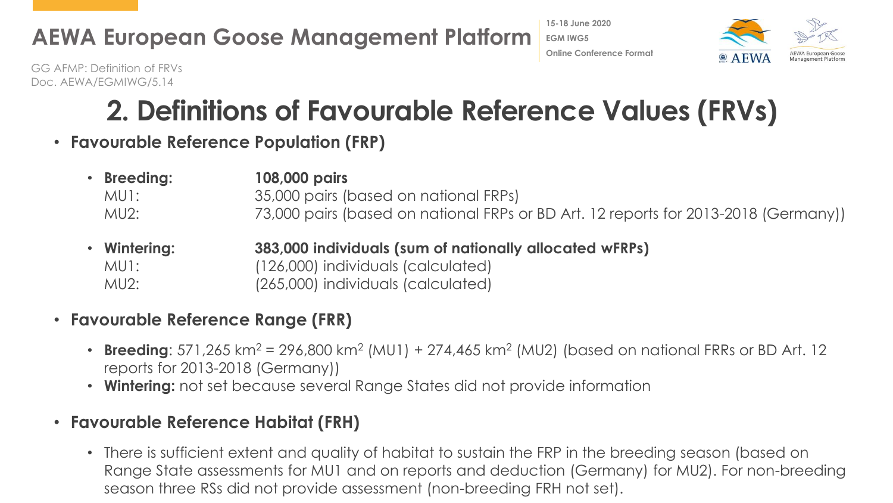## **AEWA European Goose Management Platform**





GG AFMP: Definition of FRVs Doc. AEWA/EGMIWG/5.14

# **2. Definitions of Favourable Reference Values (FRVs)**

• **Favourable Reference Population (FRP)**

| • Breeding: | 108,000 pairs                                                                       |
|-------------|-------------------------------------------------------------------------------------|
| MU1:        | 35,000 pairs (based on national FRPs)                                               |
| MU2:        | 73,000 pairs (based on national FRPs or BD Art. 12 reports for 2013-2018 (Germany)) |
|             |                                                                                     |

• **Wintering: 383,000 individuals (sum of nationally allocated wFRPs)** MU1: (126,000) individuals (calculated) MU2: (265,000) individuals (calculated)

### • **Favourable Reference Range (FRR)**

- **Breeding**: 571,265 km<sup>2</sup> = 296,800 km<sup>2</sup> (MU1) + 274,465 km<sup>2</sup> (MU2) (based on national FRRs or BD Art. 12 reports for 2013-2018 (Germany))
- **Wintering:** not set because several Range States did not provide information

#### • **Favourable Reference Habitat (FRH)**

• There is sufficient extent and quality of habitat to sustain the FRP in the breeding season (based on Range State assessments for MU1 and on reports and deduction (Germany) for MU2). For non-breeding season three RSs did not provide assessment (non-breeding FRH not set).